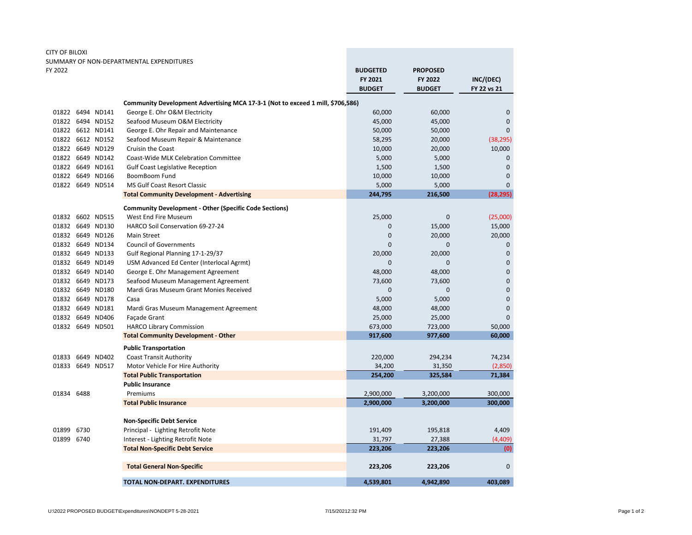| CITY OF BILOXI |                  |                                                                                |                 |                 |                |
|----------------|------------------|--------------------------------------------------------------------------------|-----------------|-----------------|----------------|
|                |                  | SUMMARY OF NON-DEPARTMENTAL EXPENDITURES                                       |                 |                 |                |
| FY 2022        |                  |                                                                                | <b>BUDGETED</b> | <b>PROPOSED</b> |                |
|                |                  |                                                                                | FY 2021         | FY 2022         | INC/(DEC)      |
|                |                  |                                                                                | <b>BUDGET</b>   | <b>BUDGET</b>   | FY 22 vs 21    |
|                |                  | Community Development Advertising MCA 17-3-1 (Not to exceed 1 mill, \$706,586) |                 |                 |                |
|                | 01822 6494 ND141 | George E. Ohr O&M Electricity                                                  | 60,000          | 60,000          | $\mathbf 0$    |
|                | 01822 6494 ND152 | Seafood Museum O&M Electricity                                                 | 45,000          | 45,000          | $\mathbf 0$    |
|                | 01822 6612 ND141 | George E. Ohr Repair and Maintenance                                           | 50,000          | 50,000          | $\Omega$       |
|                | 01822 6612 ND152 | Seafood Museum Repair & Maintenance                                            | 58,295          | 20,000          | (38, 295)      |
|                | 01822 6649 ND129 | <b>Cruisin the Coast</b>                                                       | 10,000          | 20,000          | 10,000         |
|                | 01822 6649 ND142 | Coast-Wide MLK Celebration Committee                                           | 5,000           | 5,000           | $\mathbf 0$    |
|                | 01822 6649 ND161 | <b>Gulf Coast Legislative Reception</b>                                        | 1,500           | 1,500           | $\mathbf{0}$   |
|                | 01822 6649 ND166 | <b>BoomBoom Fund</b>                                                           | 10,000          | 10,000          | $\overline{0}$ |
|                | 01822 6649 ND514 | MS Gulf Coast Resort Classic                                                   | 5,000           | 5,000           | $\overline{0}$ |
|                |                  | <b>Total Community Development - Advertising</b>                               | 244,795         | 216,500         | (28, 295)      |
|                |                  | <b>Community Development - Other (Specific Code Sections)</b>                  |                 |                 |                |
| 01832          | 6602 ND515       | West End Fire Museum                                                           | 25,000          | $\pmb{0}$       | (25,000)       |
|                | 01832 6649 ND130 | HARCO Soil Conservation 69-27-24                                               | 0               | 15,000          | 15,000         |
|                | 01832 6649 ND126 | Main Street                                                                    | 0               | 20,000          | 20,000         |
|                | 01832 6649 ND134 | <b>Council of Governments</b>                                                  | 0               | $\mathbf 0$     | $\mathbf 0$    |
|                | 01832 6649 ND133 | Gulf Regional Planning 17-1-29/37                                              | 20,000          | 20,000          | $\mathbf 0$    |
|                | 01832 6649 ND149 | USM Advanced Ed Center (Interlocal Agrmt)                                      | $\mathbf{0}$    | $\mathbf{0}$    | $\overline{0}$ |
|                | 01832 6649 ND140 | George E. Ohr Management Agreement                                             | 48,000          | 48,000          | $\overline{0}$ |
|                | 01832 6649 ND173 | Seafood Museum Management Agreement                                            | 73,600          | 73,600          | $\mathbf 0$    |
|                | 01832 6649 ND180 | Mardi Gras Museum Grant Monies Received                                        | 0               | $\mathbf{0}$    | $\overline{0}$ |
|                | 01832 6649 ND178 | Casa                                                                           | 5,000           | 5,000           | $\overline{0}$ |
|                | 01832 6649 ND181 | Mardi Gras Museum Management Agreement                                         | 48,000          | 48,000          | $\mathbf 0$    |
|                | 01832 6649 ND406 | Façade Grant                                                                   | 25,000          | 25,000          | $\overline{0}$ |
|                | 01832 6649 ND501 | <b>HARCO Library Commission</b>                                                | 673,000         | 723,000         | 50,000         |
|                |                  | <b>Total Community Development - Other</b>                                     | 917,600         | 977,600         | 60,000         |
|                |                  | <b>Public Transportation</b>                                                   |                 |                 |                |
|                | 01833 6649 ND402 | <b>Coast Transit Authority</b>                                                 | 220,000         | 294,234         | 74,234         |
|                | 01833 6649 ND517 | Motor Vehicle For Hire Authority                                               | 34,200          | 31,350          | (2,850)        |
|                |                  | <b>Total Public Transportation</b>                                             | 254,200         | 325,584         | 71,384         |
|                |                  | <b>Public Insurance</b>                                                        |                 |                 |                |
| 01834 6488     |                  | Premiums                                                                       | 2,900,000       | 3,200,000       | 300,000        |
|                |                  | <b>Total Public Insurance</b>                                                  | 2,900,000       | 3,200,000       | 300,000        |
|                |                  |                                                                                |                 |                 |                |
|                |                  | <b>Non-Specific Debt Service</b>                                               |                 |                 |                |
| 01899          | 6730             | Principal - Lighting Retrofit Note                                             | 191,409         | 195,818         | 4,409          |
| 01899 6740     |                  | Interest - Lighting Retrofit Note                                              | 31,797          | 27,388          | (4, 409)       |
|                |                  | <b>Total Non-Specific Debt Service</b>                                         | 223,206         | 223,206         | (0)            |
|                |                  | <b>Total General Non-Specific</b>                                              | 223,206         | 223,206         | $\mathbf 0$    |
|                |                  | <b>TOTAL NON-DEPART, EXPENDITURES</b>                                          | 4.539.801       | 4,942,890       | 403,089        |